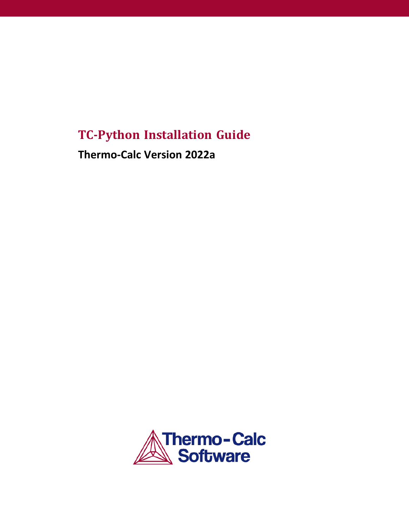# **TC-Python Installation Guide**

**Thermo-Calc Version 2022a**

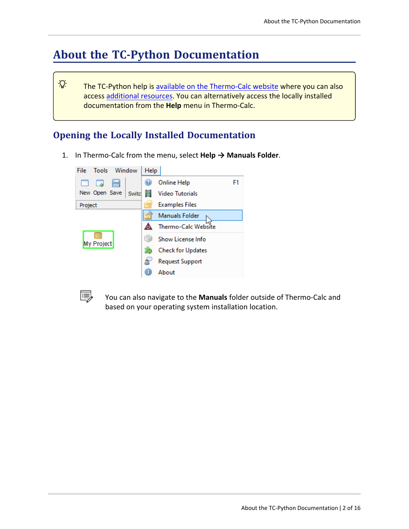# **About the TC-Python Documentation**

The TC-Python help is available on the [Thermo-Calc](https://www2.thermocalc.com/docs/tc-python/latest-version/html/) website where you can also access [additional](https://thermocalc.com/products/software-development-kits/tc-python/) resources. You can alternatively access the locally installed documentation from the **Help** menu in Thermo-Calc.

## **Opening the Locally Installed Documentation**

1. In Thermo-Calc from the menu, select **Help → Manuals Folder**.





·Q·

You can also navigate to the **Manuals** folder outside of Thermo-Calc and based on your operating system installation location.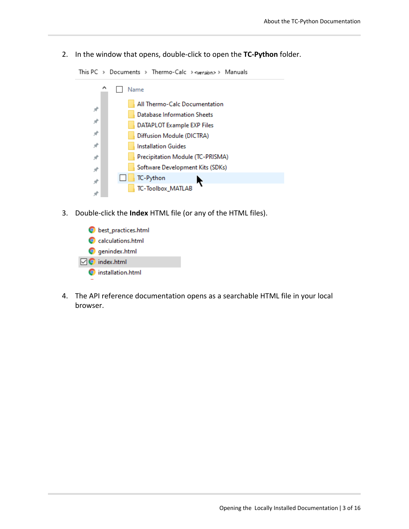2. In the window that opens, double-click to open the **TC-Python** folder.

This PC > Documents > Thermo-Calc > <wersion> > Manuals



- 3. Double-click the **Index** HTML file (or any of the HTML files).
	- best\_practices.html C calculations.html **O** genindex.html  $\nabla$  index.html nstallation.html
- 4. The API reference documentation opens as a searchable HTML file in your local browser.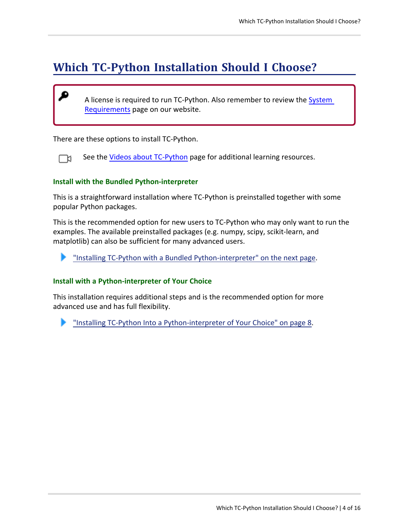# **Which TC-Python Installation Should I Choose?**

A license is required to run TC-Python. Also remember to review the [System](https://thermocalc.com/system-requirements/) [Requirements](https://thermocalc.com/system-requirements/) page on our website.

There are these options to install TC-Python.

₽

See the Videos about [TC-Python](https://thermocalc.com/support/video-tutorials/tc-python/) page for additional learning resources. ГX

#### **Install with the Bundled Python-interpreter**

This is a straightforward installation where TC-Python is preinstalled together with some popular Python packages.

This is the recommended option for new users to TC-Python who may only want to run the examples. The available preinstalled packages (e.g. numpy, scipy, scikit-learn, and matplotlib) can also be sufficient for many advanced users.

"Installing TC-Python with a Bundled [Python-interpreter"](#page-4-0) on the next page.

#### **Install with a Python-interpreter of Your Choice**

This installation requires additional steps and is the recommended option for more advanced use and has full flexibility.

"Installing TC-Python Into a [Python-interpreter](#page-7-0) of Your Choice" on page 8.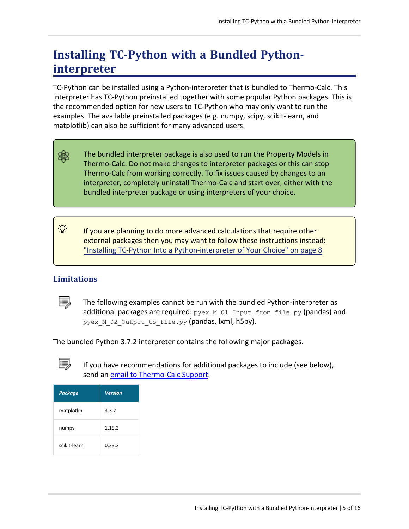# <span id="page-4-0"></span>**Installing TC-Python with a Bundled Pythoninterpreter**

TC-Python can be installed using a Python-interpreter that is bundled to Thermo-Calc. This interpreter has TC-Python preinstalled together with some popular Python packages. This is the recommended option for new users to TC-Python who may only want to run the examples. The available preinstalled packages (e.g. numpy, scipy, scikit-learn, and matplotlib) can also be sufficient for many advanced users.

躑 The bundled interpreter package is also used to run the Property Models in Thermo-Calc. Do not make changes to interpreter packages or this can stop Thermo-Calc from working correctly. To fix issues caused by changes to an interpreter, completely uninstall Thermo-Calc and start over, either with the bundled interpreter package or using interpreters of your choice.

Ş. If you are planning to do more advanced calculations that require other external packages then you may want to follow these instructions instead: "Installing TC-Python Into a [Python-interpreter](#page-7-0) of Your Choice" on page 8

## **Limitations**

The following examples cannot be run with the bundled Python-interpreter as additional packages are required:  $p_{y}e_{x}$  M 01 Input from file.py (pandas) and pyex M 02 Output to file.py (pandas, kml, h5py).

The bundled Python 3.7.2 interpreter contains the following major packages.



If you have recommendations for additional packages to include (see below), send an email to [Thermo-Calc](mailto:support@thermocalc.com?subject=Suggestion for new TC-Python packages with the bundled installation) Support.

| <b>Package</b> | <b>Version</b> |
|----------------|----------------|
| matplotlib     | 3.3.2          |
| numpy          | 1.19.2         |
| scikit-learn   | 0.23.2         |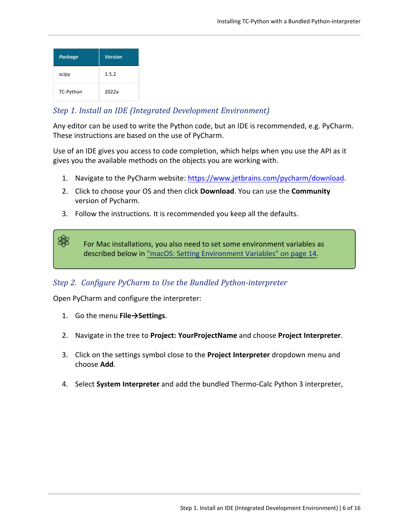| <b>Package</b> | <b>Version</b> |
|----------------|----------------|
| scipy          | 1.5.2          |
| TC-Python      | 2022a          |

夔

## *Step 1. Install an IDE (Integrated Development Environment)*

Any editor can be used to write the Python code, but an IDE is recommended, e.g. PyCharm. These instructions are based on the use of PyCharm.

Use of an IDE gives you access to code completion, which helps when you use the API as it gives you the available methods on the objects you are working with.

- 1. Navigate to the PyCharm website: <https://www.jetbrains.com/pycharm/download>.
- 2. Click to choose your OS and then click **Download**. You can use the **Community** version of Pycharm.
- 3. Follow the instructions. It is recommended you keep all the defaults.

For Mac installations, you also need to set some environment variables as described below in "macOS: Setting [Environment](#page-13-0) Variables" on page 14.

## *Step 2. Configure PyCharm to Use the Bundled Python-interpreter*

Open PyCharm and configure the interpreter:

- 1. Go the menu **File→Settings**.
- 2. Navigate in the tree to **Project: YourProjectName** and choose **Project Interpreter**.
- 3. Click on the settings symbol close to the **Project Interpreter** dropdown menu and choose **Add**.
- 4. Select **System Interpreter** and add the bundled Thermo-Calc Python 3 interpreter,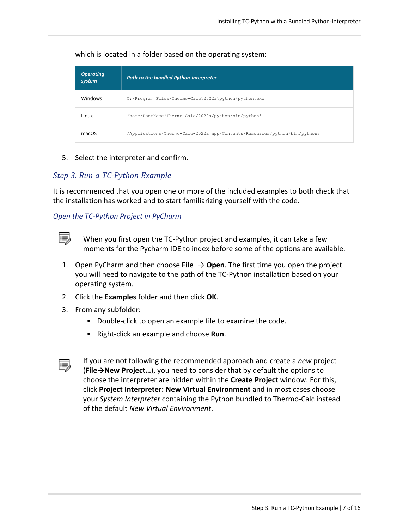| <b>Operating</b><br>system | <b>Path to the bundled Python-interpreter</b>                             |
|----------------------------|---------------------------------------------------------------------------|
| Windows                    | C:\Program Files\Thermo-Calc\2022a\python\python.exe                      |
| Linux                      | /home/UserName/Thermo-Calc/2022a/python/bin/python3                       |
| macOS                      | /Applications/Thermo-Calc-2022a.app/Contents/Resources/python/bin/python3 |

which is located in a folder based on the operating system:

5. Select the interpreter and confirm.

## *Step 3. Run a TC-Python Example*

It is recommended that you open one or more of the included examples to both check that the installation has worked and to start familiarizing yourself with the code.

## *Open the TC-Python Project in PyCharm*



When you first open the TC-Python project and examples, it can take a few moments for the Pycharm IDE to index before some of the options are available.

- 1. Open PyCharm and then choose **File**  $\rightarrow$  **Open**. The first time you open the project you will need to navigate to the path of the TC-Python installation based on your operating system.
- 2. Click the **Examples** folder and then click **OK**.
- 3. From any subfolder:
	- Double-click to open an example file to examine the code.
	- **•** Right-click an example and choose Run.



If you are not following the recommended approach and create a *new* project (**File→New Project…**), you need to consider that by default the options to choose the interpreter are hidden within the **Create Project** window. For this, click **Project Interpreter: New Virtual Environment** and in most cases choose your *System Interpreter* containing the Python bundled to Thermo-Calc instead of the default *New Virtual Environment*.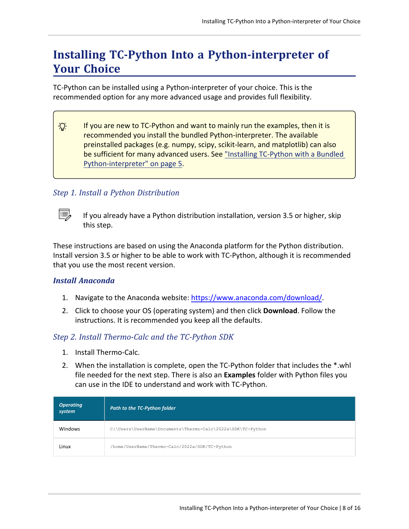# <span id="page-7-0"></span>**Installing TC-Python Into a Python-interpreter of Your Choice**

TC-Python can be installed using a Python-interpreter of your choice. This is the recommended option for any more advanced usage and provides full flexibility.

 $\cdot Q$ If you are new to TC-Python and want to mainly run the examples, then it is recommended you install the bundled Python-interpreter. The available preinstalled packages (e.g. numpy, scipy, scikit-learn, and matplotlib) can also be sufficient for many advanced users. See "Installing [TC-Python](#page-4-0) with a Bundled [Python-interpreter"](#page-4-0) on page 5.

## *Step 1. Install a Python Distribution*



If you already have a Python distribution installation, version 3.5 or higher, skip this step.

These instructions are based on using the Anaconda platform for the Python distribution. Install version 3.5 or higher to be able to work with TC-Python, although it is recommended that you use the most recent version.

#### *Install Anaconda*

- 1. Navigate to the Anaconda website: <https://www.anaconda.com/download/>.
- 2. Click to choose your OS (operating system) and then click **Download**. Follow the instructions. It is recommended you keep all the defaults.

## *Step 2. Install Thermo-Calc and the TC-Python SDK*

- 1. Install Thermo-Calc.
- 2. When the installation is complete, open the TC-Python folder that includes the \*.whl file needed for the next step. There is also an **Examples** folder with Python files you can use in the IDE to understand and work with TC-Python.

| <b>Operating</b><br>system | Path to the TC-Python folder                                |
|----------------------------|-------------------------------------------------------------|
| <b>Windows</b>             | C:\Users\UserName\Documents\Thermo-Calc\2022a\SDK\TC-Python |
| Linux                      | /home/UserName/Thermo-Calc/2022a/SDK/TC-Python              |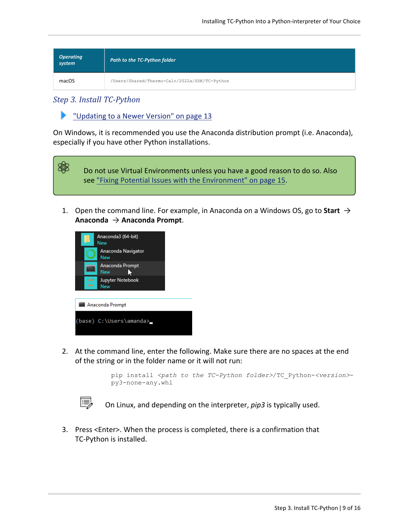| Operating<br>system | Path to the TC-Python folder                  |
|---------------------|-----------------------------------------------|
| macOS               | /Users/Shared/Thermo-Calc/2022a/SDK/TC-Python |

#### *Step 3. Install TC-Python*

▶ ["Updating](#page-12-0) to a Newer Version" on page 13

On Windows, it is recommended you use the Anaconda distribution prompt (i.e. Anaconda), especially if you have other Python installations.



1. Open the command line. For example, in Anaconda on a Windows OS, go to **Start** → **Anaconda** → **Anaconda Prompt**.



2. At the command line, enter the following. Make sure there are no spaces at the end of the string or in the folder name or it will not run:

```
pip install <path to the TC-Python folder>/TC_Python-<version>-
py3-none-any.whl
```

```
b)
```
On Linux, and depending on the interpreter, *pip3* is typically used.

3. Press <Enter>. When the process is completed, there is a confirmation that TC-Python is installed.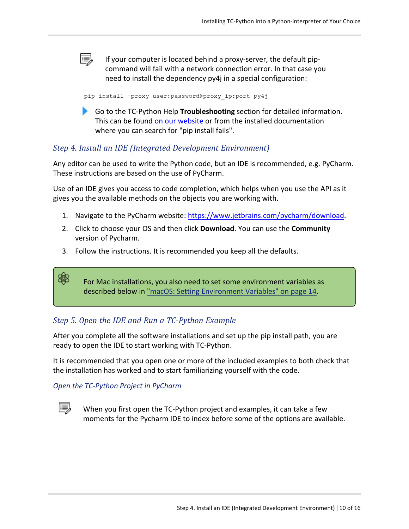e, If your computer is located behind a proxy-server, the default pipcommand will fail with a network connection error. In that case you need to install the dependency py4j in a special configuration:

pip install -proxy user:password@proxy\_ip:port py4j

Go to the TC-Python Help **Troubleshooting** section for detailed information. This can be found on our [website](https://www2.thermocalc.com/docs/tc-python/latest-version/html/) or from the installed documentation where you can search for "pip install fails".

#### *Step 4. Install an IDE (Integrated Development Environment)*

Any editor can be used to write the Python code, but an IDE is recommended, e.g. PyCharm. These instructions are based on the use of PyCharm.

Use of an IDE gives you access to code completion, which helps when you use the API as it gives you the available methods on the objects you are working with.

- 1. Navigate to the PyCharm website: <https://www.jetbrains.com/pycharm/download>.
- 2. Click to choose your OS and then click **Download**. You can use the **Community** version of Pycharm.
- 3. Follow the instructions. It is recommended you keep all the defaults.

For Mac installations, you also need to set some environment variables as described below in "macOS: Setting [Environment](#page-13-0) Variables" on page 14.

## *Step 5. Open the IDE and Run a TC-Python Example*

After you complete all the software installations and set up the pip install path, you are ready to open the IDE to start working with TC-Python.

It is recommended that you open one or more of the included examples to both check that the installation has worked and to start familiarizing yourself with the code.

#### *Open the TC-Python Project in PyCharm*



嫩

When you first open the TC-Python project and examples, it can take a few moments for the Pycharm IDE to index before some of the options are available.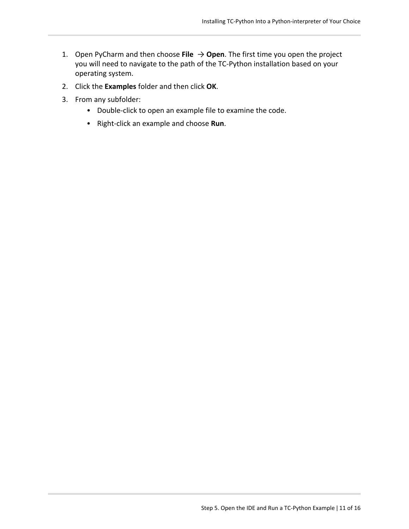- 1. Open PyCharm and then choose File  $\rightarrow$  Open. The first time you open the project you will need to navigate to the path of the TC-Python installation based on your operating system.
- 2. Click the **Examples** folder and then click **OK**.
- 3. From any subfolder:
	- Double-click to open an example file to examine the code.
	- **•** Right-click an example and choose Run.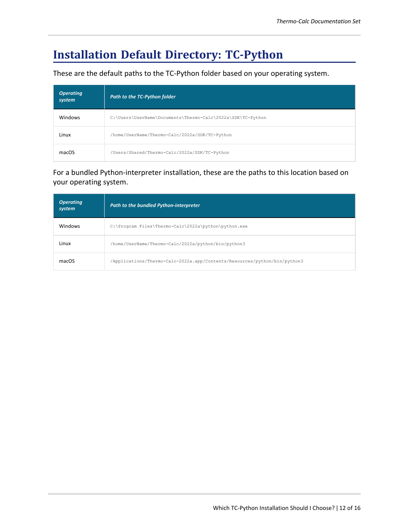# **Installation Default Directory: TC-Python**

These are the default paths to the TC-Python folder based on your operating system.

| <b>Operating</b><br>system | Path to the TC-Python folder                                |
|----------------------------|-------------------------------------------------------------|
| <b>Windows</b>             | C:\Users\UserName\Documents\Thermo-Calc\2022a\SDK\TC-Python |
| Linux                      | /home/UserName/Thermo-Calc/2022a/SDK/TC-Python              |
| macOS                      | /Users/Shared/Thermo-Calc/2022a/SDK/TC-Python               |

For a bundled Python-interpreter installation, these are the paths to this location based on your operating system.

| <b>Operating</b><br>system | Path to the bundled Python-interpreter                                    |
|----------------------------|---------------------------------------------------------------------------|
| <b>Windows</b>             | C:\Program Files\Thermo-Calc\2022a\python\python.exe                      |
| Linux                      | /home/UserName/Thermo-Calc/2022a/python/bin/python3                       |
| macOS                      | /Applications/Thermo-Calc-2022a.app/Contents/Resources/python/bin/python3 |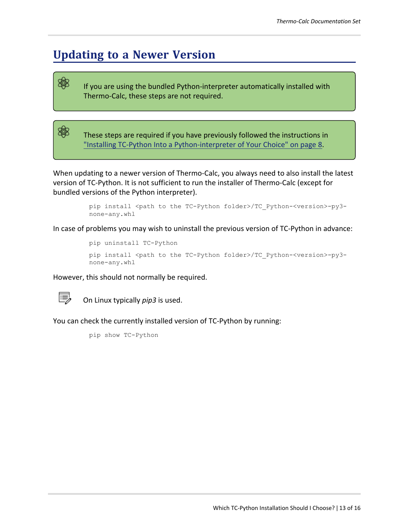# <span id="page-12-0"></span>**Updating to a Newer Version**

If you are using the bundled Python-interpreter automatically installed with Thermo-Calc, these steps are not required.

These steps are required if you have previously followed the instructions in "Installing TC-Python Into a [Python-interpreter](#page-7-0) of Your Choice" on page 8.

When updating to a newer version of Thermo-Calc, you always need to also install the latest version of TC-Python. It is not sufficient to run the installer of Thermo-Calc (except for bundled versions of the Python interpreter).

> pip install <path to the TC-Python folder>/TC\_Python-<version>-py3 none-any.whl

In case of problems you may wish to uninstall the previous version of TC-Python in advance:

pip uninstall TC-Python pip install <path to the TC-Python folder>/TC Python-<version>-py3-

none-any.whl

However, this should not normally be required.



夔

夔

On Linux typically *pip3* is used.

You can check the currently installed version of TC-Python by running:

pip show TC-Python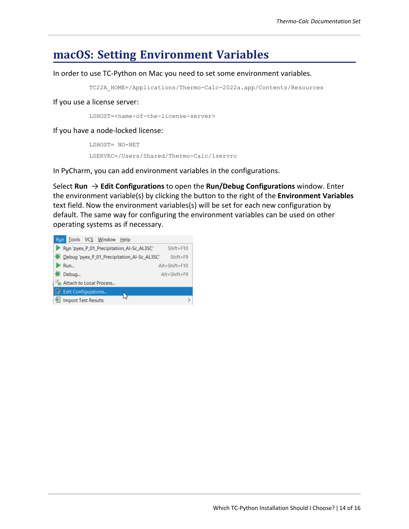## <span id="page-13-0"></span>**macOS: Setting Environment Variables**

#### In order to use TC-Python on Mac you need to set some environment variables.

TC22A\_HOME=/Applications/Thermo-Calc-2022a.app/Contents/Resources

If you use a license server:

LSHOST=<name-of-the-license-server>

If you have a node-locked license:

```
LSHOST= NO-NET
LSERVRC=/Users/Shared/Thermo-Calc/lservrc
```
In PyCharm, you can add environment variables in the configurations.

Select **Run** → **Edit Configurations** to open the **Run/Debug Configurations** window. Enter the environment variable(s) by clicking the button to the right of the **Environment Variables** text field. Now the environment variables(s) will be set for each new configuration by default. The same way for configuring the environment variables can be used on other operating systems as if necessary.

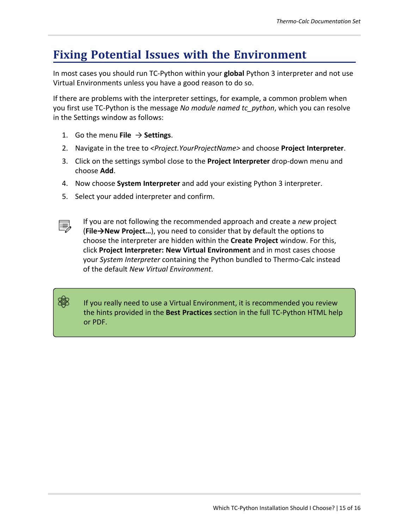# <span id="page-14-0"></span>**Fixing Potential Issues with the Environment**

In most cases you should run TC-Python within your **global** Python 3 interpreter and not use Virtual Environments unless you have a good reason to do so.

If there are problems with the interpreter settings, for example, a common problem when you first use TC-Python is the message *No module named tc\_python*, which you can resolve in the Settings window as follows:

- 1. Go the menu **File**  $\rightarrow$  **Settings**.
- 2. Navigate in the tree to *<Project.YourProjectName>* and choose **Project Interpreter**.
- 3. Click on the settings symbol close to the **Project Interpreter** drop-down menu and choose **Add**.
- 4. Now choose **System Interpreter** and add your existing Python 3 interpreter.
- 5. Select your added interpreter and confirm.



夔

If you are not following the recommended approach and create a *new* project (**File→New Project…**), you need to consider that by default the options to choose the interpreter are hidden within the **Create Project** window. For this, click **Project Interpreter: New Virtual Environment** and in most cases choose your *System Interpreter* containing the Python bundled to Thermo-Calc instead of the default *New Virtual Environment*.

If you really need to use a Virtual Environment, it is recommended you review the hints provided in the **Best Practices** section in the full TC-Python HTML help or PDF.